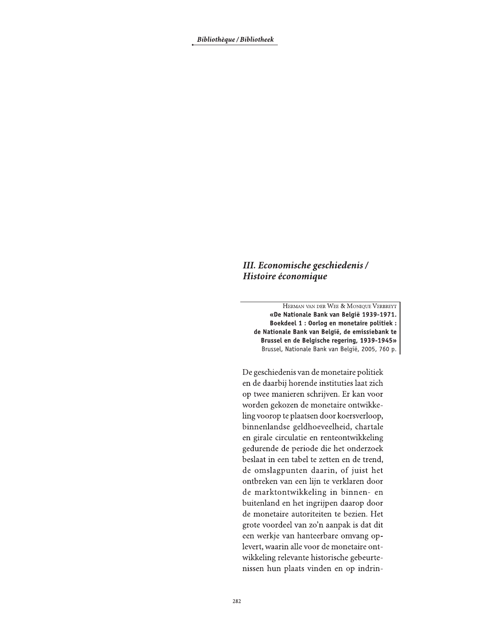Bibliothèque / Bibliotheek

## III. Economische geschiedenis / Histoire économique

HERMAN VAN DER WEE & MONIQUE VERBREYT «De Nationale Bank van België 1939-1971. Boekdeel 1 : Oorlog en monetaire politiek : de Nationale Bank van België, de emissiebank te Brussel en de Belgische regering, 1939-1945» Brussel, Nationale Bank van België, 2005, 760 p.

De geschiedenis van de monetaire politiek en de daarbij horende instituties laat zich op twee manieren schrijven. Er kan voor worden gekozen de monetaire ontwikkeling voorop te plaatsen door koersverloop, binnenlandse geldhoeveelheid, chartale en girale circulatie en renteontwikkeling gedurende de periode die het onderzoek beslaat in een tabel te zetten en de trend, de omslagpunten daarin, of juist het ontbreken van een lijn te verklaren door de marktontwikkeling in binnen- en buitenland en het ingrijpen daarop door de monetaire autoriteiten te bezien. Het grote voordeel van zo'n aanpak is dat dit een werkje van hanteerbare omvang oplevert, waarin alle voor de monetaire ontwikkeling relevante historische gebeurtenissen hun plaats vinden en op indrin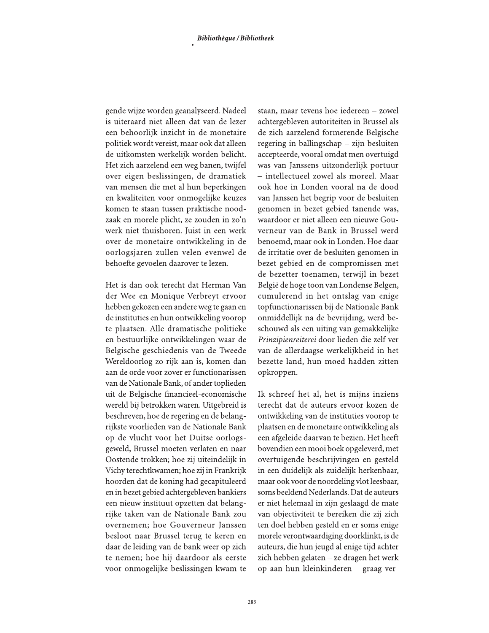gende wijze worden geanalyseerd. Nadeel is uiteraard niet alleen dat van de lezer een behoorlijk inzicht in de monetaire politiek wordt vereist, maar ook dat alleen de uitkomsten werkelijk worden belicht. Het zich aarzelend een weg banen, twijfel over eigen beslissingen, de dramatiek van mensen die met al hun beperkingen en kwaliteiten voor onmogelijke keuzes komen te staan tussen praktische noodzaak en morele plicht, ze zouden in zo'n werk niet thuishoren. Juist in een werk over de monetaire ontwikkeling in de oorlogsjaren zullen velen evenwel de behoefte gevoelen daarover te lezen.

Het is dan ook terecht dat Herman Van der Wee en Monique Verbreyt ervoor hebben gekozen een andere weg te gaan en de instituties en hun ontwikkeling voorop te plaatsen. Alle dramatische politieke en bestuurlijke ontwikkelingen waar de Belgische geschiedenis van de Tweede Wereldoorlog zo rijk aan is, komen dan aan de orde voor zover er functionarissen van de Nationale Bank, of ander toplieden uit de Belgische financieel-economische wereld bij betrokken waren. Uitgebreid is beschreven, hoe de regering en de belangrijkste voorlieden van de Nationale Bank op de vlucht voor het Duitse oorlogsgeweld, Brussel moeten verlaten en naar Oostende trokken; hoe zij uiteindelijk in Vichy terechtkwamen; hoe zij in Frankrijk hoorden dat de koning had gecapituleerd en in bezet gebied achtergebleven bankiers een nieuw instituut opzetten dat belangrijke taken van de Nationale Bank zou overnemen; hoe Gouverneur Janssen besloot naar Brussel terug te keren en daar de leiding van de bank weer op zich te nemen; hoe hij daardoor als eerste voor onmogelijke beslissingen kwam te staan, maar tevens hoe iedereen - zowel achtergebleven autoriteiten in Brussel als de zich aarzelend formerende Belgische regering in ballingschap - zijn besluiten accepteerde, vooral omdat men overtuigd was van Janssens uitzonderlijk portuur - intellectueel zowel als moreel. Maar ook hoe in Londen vooral na de dood van Janssen het begrip voor de besluiten genomen in bezet gebied tanende was, waardoor er niet alleen een nieuwe Gouverneur van de Bank in Brussel werd benoemd, maar ook in Londen. Hoe daar de irritatie over de besluiten genomen in bezet gebied en de compromissen met de bezetter toenamen, terwijl in bezet België de hoge toon van Londense Belgen, cumulerend in het ontslag van enige topfunctionarissen bij de Nationale Bank onmiddellijk na de bevrijding, werd beschouwd als een uiting van gemakkelijke Prinzipienreiterei door lieden die zelf ver van de allerdaagse werkelijkheid in het bezette land, hun moed hadden zitten opkroppen.

Ik schreef het al, het is mijns inziens terecht dat de auteurs ervoor kozen de ontwikkeling van de instituties voorop te plaatsen en de monetaire ontwikkeling als een afgeleide daarvan te bezien. Het heeft bovendien een mooi boek opgeleverd, met overtuigende beschrijvingen en gesteld in een duidelijk als zuidelijk herkenbaar, maar ook voor de noordeling vlot leesbaar, soms beeldend Nederlands. Dat de auteurs er niet helemaal in zijn geslaagd de mate van objectiviteit te bereiken die zij zich ten doel hebben gesteld en er soms enige morele verontwaardiging doorklinkt, is de auteurs, die hun jeugd al enige tijd achter zich hebben gelaten - ze dragen het werk op aan hun kleinkinderen – graag ver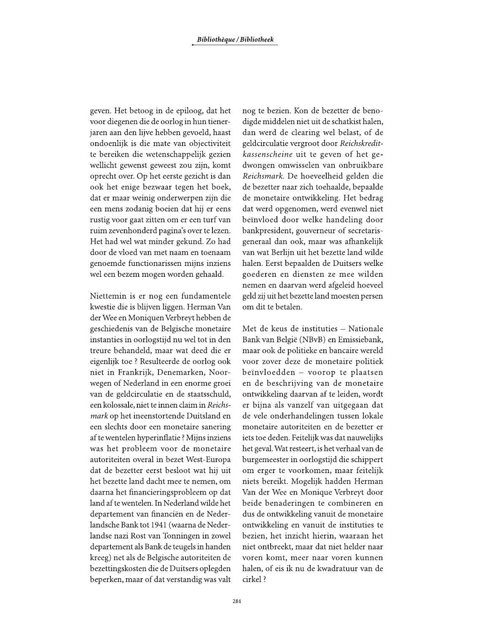geven. Het betoog in de epiloog, dat het voor diegenen die de oorlog in hun tienerjaren aan den lijve hebben gevoeld, haast ondoenlijk is die mate van objectiviteit te bereiken die wetenschappelijk gezien wellicht gewenst geweest zou zijn, komt oprecht over. Op het eerste gezicht is dan ook het enige bezwaar tegen het boek, dat er maar weinig onderwerpen zijn die een mens zodanig boeien dat hij er eens rustig voor gaat zitten om er een turf van ruim zevenhonderd pagina's over te lezen. Het had wel wat minder gekund. Zo had door de vloed van met naam en toenaam genoemde functionarissen mijns inziens wel een bezem mogen worden gehaald.

Niettemin is er nog een fundamentele kwestie die is blijven liggen. Herman Van der Wee en Moniquen Verbreyt hebben de geschiedenis van de Belgische monetaire instanties in oorlogstijd nu wel tot in den treure behandeld, maar wat deed die er eigenlijk toe ? Resulteerde de oorlog ook niet in Frankrijk, Denemarken, Noorwegen of Nederland in een enorme groei van de geldcirculatie en de staatsschuld, een kolossale, niet te innen claim in Reichs*mark* op het ineenstortende Duitsland en een slechts door een monetaire sanering af te wentelen hyperinflatie? Mijns inziens was het probleem voor de monetaire autoriteiten overal in bezet West-Europa dat de bezetter eerst besloot wat hij uit het bezette land dacht mee te nemen, om daarna het financieringsprobleem op dat land af te wentelen. In Nederland wilde het departement van financiën en de Nederlandsche Bank tot 1941 (waarna de Nederlandse nazi Rost van Tonningen in zowel departement als Bank de teugels in handen kreeg) net als de Belgische autoriteiten de bezettingskosten die de Duitsers oplegden beperken, maar of dat verstandig was valt

nog te bezien. Kon de bezetter de benodigde middelen niet uit de schatkist halen, dan werd de clearing wel belast, of de geldcirculatie vergroot door Reichskreditkassenscheine uit te geven of het gedwongen omwisselen van onbruikbare Reichsmark. De hoeveelheid gelden die de bezetter naar zich toehaalde, bepaalde de monetaire ontwikkeling. Het bedrag dat werd opgenomen, werd evenwel niet beïnvloed door welke handeling door bankpresident, gouverneur of secretarisgeneraal dan ook, maar was afhankelijk van wat Berlijn uit het bezette land wilde halen. Eerst bepaalden de Duitsers welke goederen en diensten ze mee wilden nemen en daarvan werd afgeleid hoeveel geld zij uit het bezette land moesten persen om dit te betalen.

Met de keus de instituties - Nationale Bank van België (NBvB) en Emissiebank, maar ook de politieke en bancaire wereld voor zover deze de monetaire politiek beïnvloedden - voorop te plaatsen en de beschrijving van de monetaire ontwikkeling daarvan af te leiden, wordt er bijna als vanzelf van uitgegaan dat de vele onderhandelingen tussen lokale monetaire autoriteiten en de bezetter er iets toe deden. Feitelijk was dat nauwelijks het geval. Wat resteert, is het verhaal van de burgemeester in oorlogstijd die schippert om erger te voorkomen, maar feitelijk niets bereikt. Mogelijk hadden Herman Van der Wee en Monique Verbreyt door beide benaderingen te combineren en dus de ontwikkeling vanuit de monetaire ontwikkeling en vanuit de instituties te bezien, het inzicht hierin, waaraan het niet ontbreekt, maar dat niet helder naar voren komt, meer naar voren kunnen halen, of eis ik nu de kwadratuur van de cirkel?